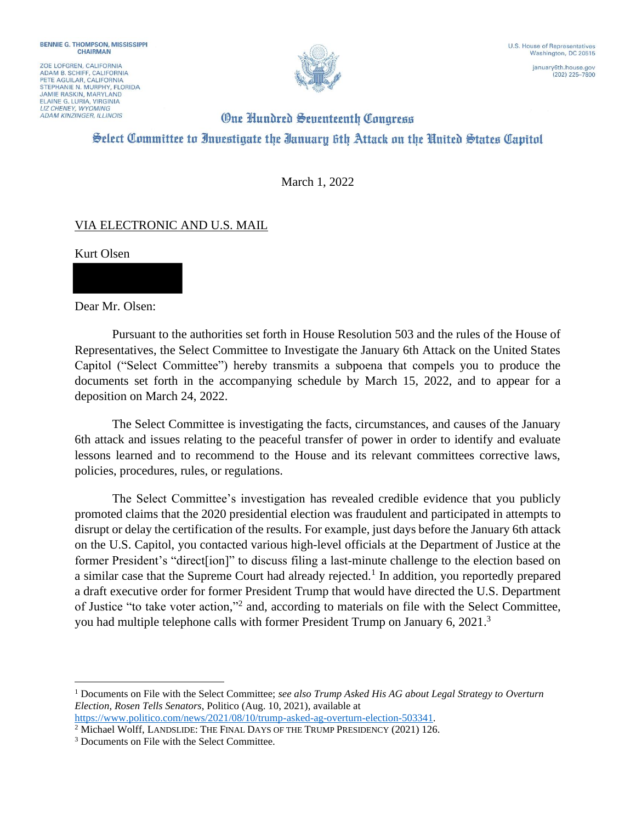ZOE LOFGREN, CALIFORNIA ADAM B. SCHIFF, CALIFORNIA<br>PETE AGUILAR, CALIFORNIA STEPHANIE N. MURPHY, FLORIDA **JAMIE RASKIN, MARYLAND** ELAINE G. LURIA, VIRGINIA **ADAM KINZINGER, ILLINOIS** 



 $(202)$  225-7800

## **One Hundred Seventeenth Congress** Select Committee to Investigate the Ianuary 6th Attack on the United States Capitol

March 1, 2022

## VIA ELECTRONIC AND U.S. MAIL

Kurt Olsen

Dear Mr. Olsen:

Pursuant to the authorities set forth in House Resolution 503 and the rules of the House of Representatives, the Select Committee to Investigate the January 6th Attack on the United States Capitol ("Select Committee") hereby transmits a subpoena that compels you to produce the documents set forth in the accompanying schedule by March 15, 2022, and to appear for a deposition on March 24, 2022.

The Select Committee is investigating the facts, circumstances, and causes of the January 6th attack and issues relating to the peaceful transfer of power in order to identify and evaluate lessons learned and to recommend to the House and its relevant committees corrective laws, policies, procedures, rules, or regulations.

The Select Committee's investigation has revealed credible evidence that you publicly promoted claims that the 2020 presidential election was fraudulent and participated in attempts to disrupt or delay the certification of the results. For example, just days before the January 6th attack on the U.S. Capitol, you contacted various high-level officials at the Department of Justice at the former President's "direct[ion]" to discuss filing a last-minute challenge to the election based on a similar case that the Supreme Court had already rejected.<sup>1</sup> In addition, you reportedly prepared a draft executive order for former President Trump that would have directed the U.S. Department of Justice "to take voter action,"<sup>2</sup> and, according to materials on file with the Select Committee, you had multiple telephone calls with former President Trump on January 6, 2021.<sup>3</sup>

<sup>1</sup> Documents on File with the Select Committee; *see also Trump Asked His AG about Legal Strategy to Overturn Election, Rosen Tells Senators*, Politico (Aug. 10, 2021), available at

https://www.politico.com/news/2021/08/10/trump-asked-ag-overturn-election-503341.

<sup>&</sup>lt;sup>2</sup> Michael Wolff, LANDSLIDE: THE FINAL DAYS OF THE TRUMP PRESIDENCY (2021) 126.

<sup>&</sup>lt;sup>3</sup> Documents on File with the Select Committee.